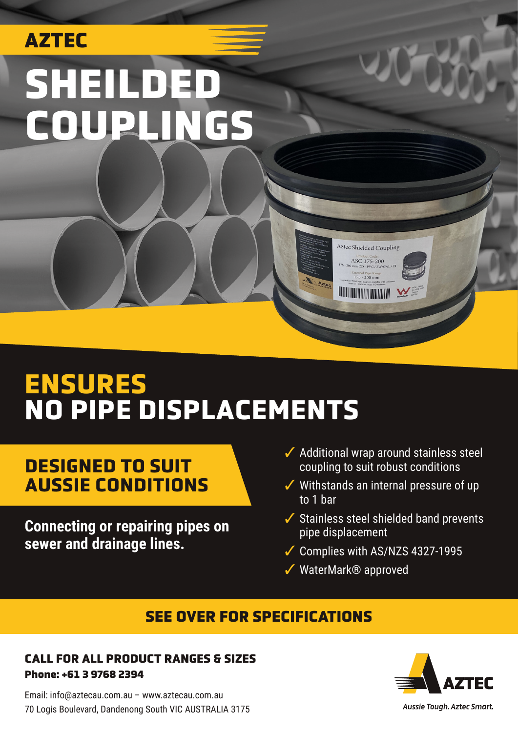# AZTEC SHEILDED COUPLINGS

# **ENSURES NO PIPE DISPLACEMENTS**

### **DESIGNED TO SUIT AUSSIE CONDITIONS**

**Connecting or repairing pipes on sewer and drainage lines.**

✓ Additional wrap around stainless steel coupling to suit robust conditions

Aztec Shielded Coupling ASC 175-200 xternal Pipe Range<br>175 - 200 mm

**IN THE MANUSCRIPT OF THE MANUSCRIPT** 

- ✓ Withstands an internal pressure of up to 1 bar
- ✓ Stainless steel shielded band prevents pipe displacement
- ✓ Complies with AS/NZS 4327-1995
- ✓ WaterMark® approved

### SEE OVER FOR SPECIFICATIONS

#### CALL FOR ALL PRODUCT RANGES & SIZES Phone: +61 3 9768 2394

Email: info@aztecau.com.au – www.aztecau.com.au 70 Logis Boulevard, Dandenong South VIC AUSTRALIA 3175



Aussie Tough. Aztec Smart.